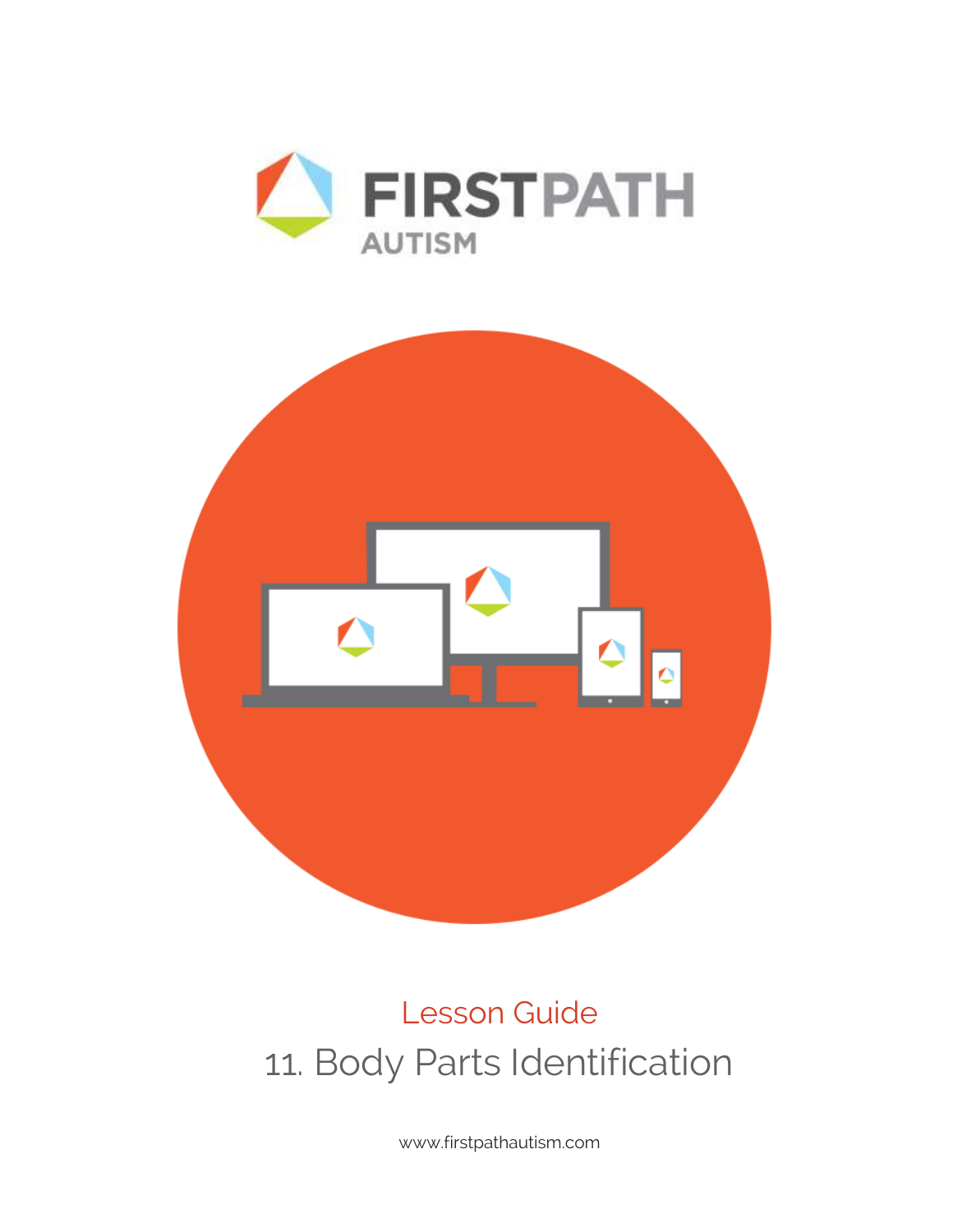



# Lesson Guide 11. Body Parts Identification

www.firstpathautism.com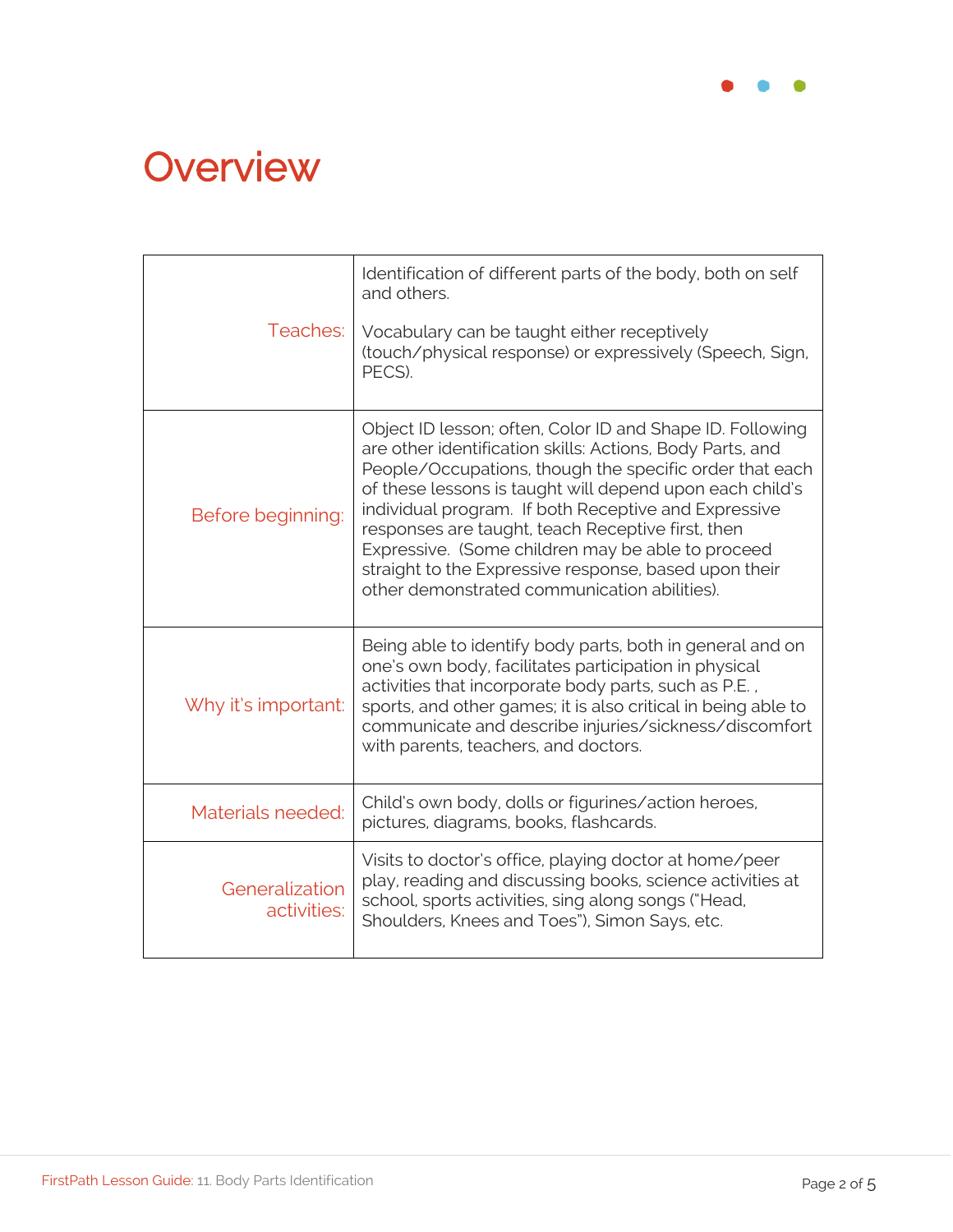

# **Overview**

| Teaches:                      | Identification of different parts of the body, both on self<br>and others.<br>Vocabulary can be taught either receptively<br>(touch/physical response) or expressively (Speech, Sign,<br>PECS).                                                                                                                                                                                                                                                                                                                          |
|-------------------------------|--------------------------------------------------------------------------------------------------------------------------------------------------------------------------------------------------------------------------------------------------------------------------------------------------------------------------------------------------------------------------------------------------------------------------------------------------------------------------------------------------------------------------|
| Before beginning:             | Object ID lesson; often, Color ID and Shape ID. Following<br>are other identification skills: Actions, Body Parts, and<br>People/Occupations, though the specific order that each<br>of these lessons is taught will depend upon each child's<br>individual program. If both Receptive and Expressive<br>responses are taught, teach Receptive first, then<br>Expressive. (Some children may be able to proceed<br>straight to the Expressive response, based upon their<br>other demonstrated communication abilities). |
| Why it's important:           | Being able to identify body parts, both in general and on<br>one's own body, facilitates participation in physical<br>activities that incorporate body parts, such as P.E.,<br>sports, and other games; it is also critical in being able to<br>communicate and describe injuries/sickness/discomfort<br>with parents, teachers, and doctors.                                                                                                                                                                            |
| Materials needed:             | Child's own body, dolls or figurines/action heroes,<br>pictures, diagrams, books, flashcards.                                                                                                                                                                                                                                                                                                                                                                                                                            |
| Generalization<br>activities: | Visits to doctor's office, playing doctor at home/peer<br>play, reading and discussing books, science activities at<br>school, sports activities, sing along songs ("Head,<br>Shoulders, Knees and Toes"), Simon Says, etc.                                                                                                                                                                                                                                                                                              |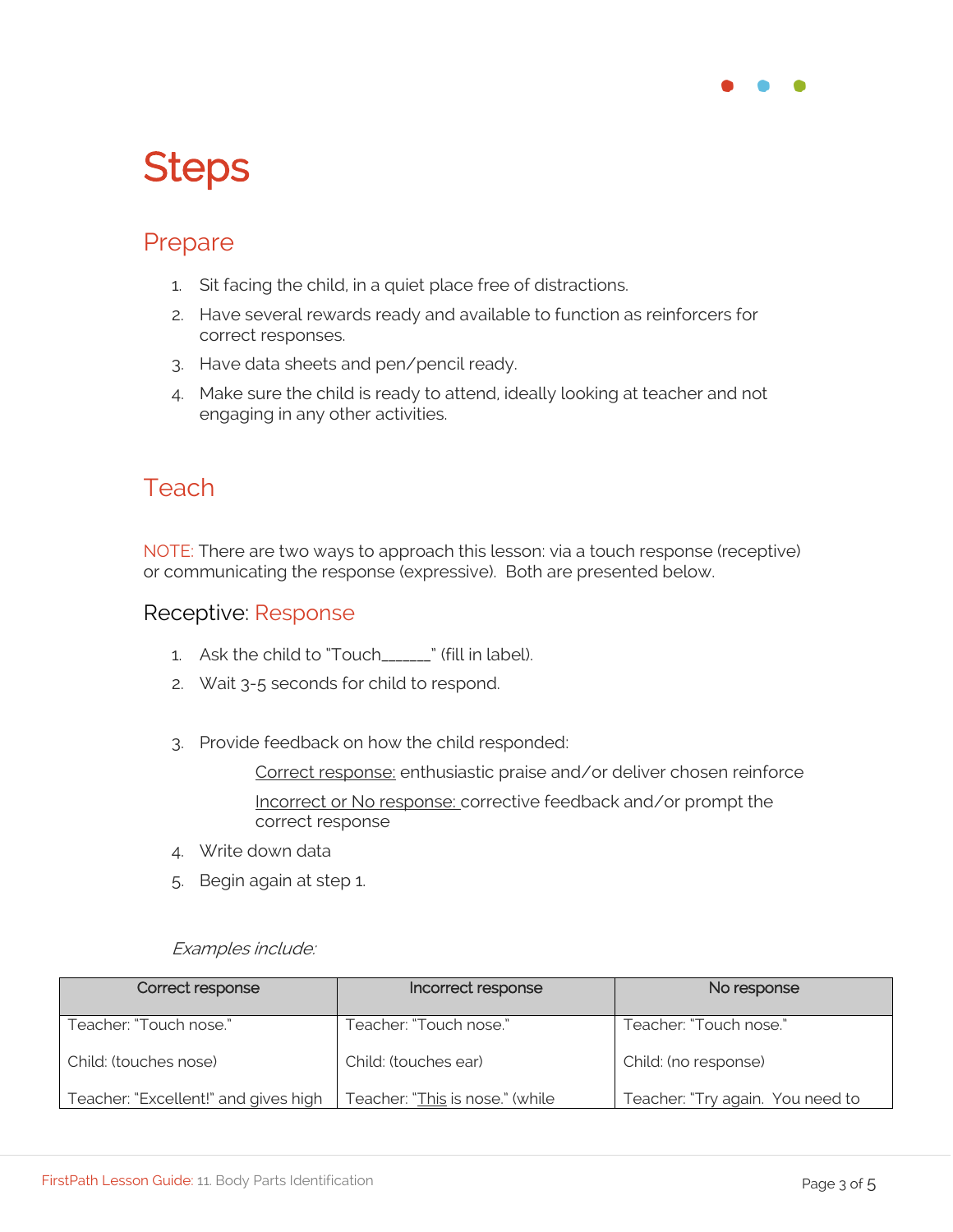

# **Steps**

### Prepare

- 1. Sit facing the child, in a quiet place free of distractions.
- 2. Have several rewards ready and available to function as reinforcers for correct responses.
- 3. Have data sheets and pen/pencil ready.
- 4. Make sure the child is ready to attend, ideally looking at teacher and not engaging in any other activities.

### **Teach**

NOTE: There are two ways to approach this lesson: via a touch response (receptive) or communicating the response (expressive). Both are presented below.

#### Receptive: Response

- 1. Ask the child to "Touch " (fill in label).
- 2. Wait 3-5 seconds for child to respond.
- 3. Provide feedback on how the child responded:

Correct response: enthusiastic praise and/or deliver chosen reinforce Incorrect or No response: corrective feedback and/or prompt the correct response

- 4. Write down data
- 5. Begin again at step 1.

#### Examples include:

| Correct response                     | Incorrect response              | No response                      |
|--------------------------------------|---------------------------------|----------------------------------|
| Teacher: "Touch nose."               | Teacher: "Touch nose."          | Teacher: "Touch nose."           |
| Child: (touches nose)                | Child: (touches ear)            | Child: (no response)             |
| Teacher: "Excellent!" and gives high | Teacher: "This is nose." (while | Teacher: "Try again. You need to |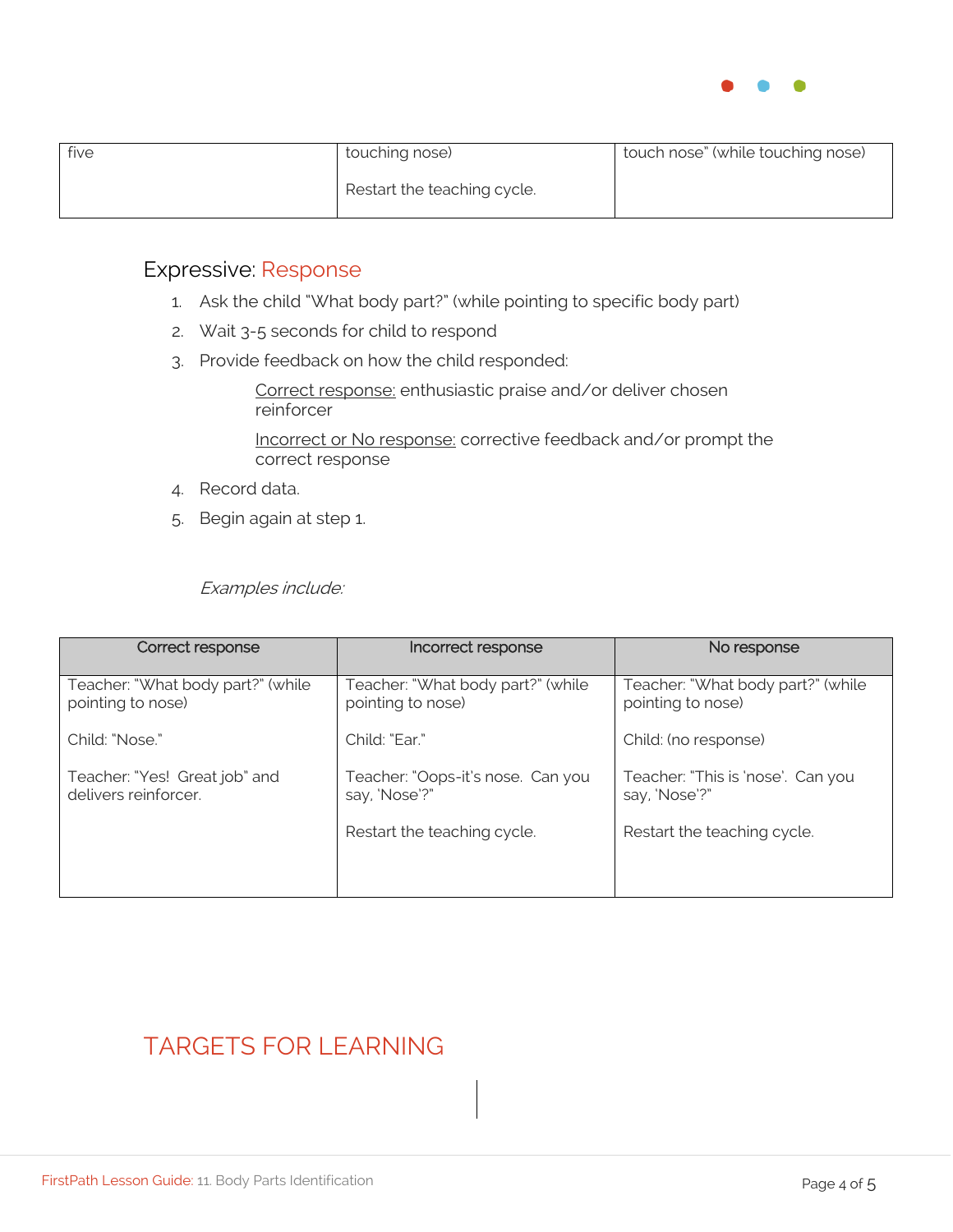

| five | touching nose)              | touch nose" (while touching nose) |
|------|-----------------------------|-----------------------------------|
|      | Restart the teaching cycle. |                                   |

#### Expressive: Response

- 1. Ask the child "What body part?" (while pointing to specific body part)
- 2. Wait 3-5 seconds for child to respond
- 3. Provide feedback on how the child responded:

Correct response: enthusiastic praise and/or deliver chosen reinforcer

Incorrect or No response: corrective feedback and/or prompt the correct response

- 4. Record data.
- 5. Begin again at step 1.

Examples include:

| Correct response                                       | Incorrect response                                     | No response                                            |
|--------------------------------------------------------|--------------------------------------------------------|--------------------------------------------------------|
| Teacher: "What body part?" (while<br>pointing to nose) | Teacher: "What body part?" (while<br>pointing to nose) | Teacher: "What body part?" (while<br>pointing to nose) |
| Child: "Nose."                                         | Child: "Ear."                                          | Child: (no response)                                   |
| Teacher: "Yes! Great job" and<br>delivers reinforcer.  | Teacher: "Oops-it's nose. Can you<br>say, 'Nose'?"     | Teacher: "This is 'nose'. Can you<br>say, 'Nose'?"     |
|                                                        | Restart the teaching cycle.                            | Restart the teaching cycle.                            |
|                                                        |                                                        |                                                        |

### TARGETS FOR LEARNING